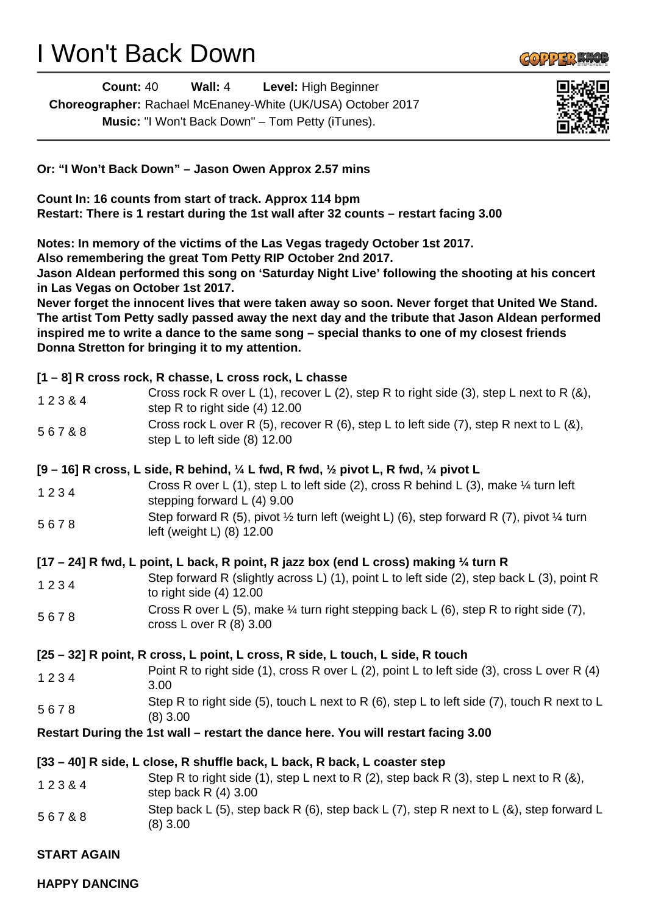## I Won't Back Down

**Count:** 40 **Wall:** 4 **Level:** High Beginner **Choreographer:** Rachael McEnaney-White (UK/USA) October 2017 **Music:** "I Won't Back Down" – Tom Petty (iTunes).



 $G$ <sup>O</sup>  $9$   $9$   $\frac{1}{2}$   $\frac{1}{2}$   $\frac{1}{2}$ 

**Or: "I Won't Back Down" – Jason Owen Approx 2.57 mins**

**Count In: 16 counts from start of track. Approx 114 bpm Restart: There is 1 restart during the 1st wall after 32 counts – restart facing 3.00**

**Notes: In memory of the victims of the Las Vegas tragedy October 1st 2017.**

**Also remembering the great Tom Petty RIP October 2nd 2017.**

**Jason Aldean performed this song on 'Saturday Night Live' following the shooting at his concert in Las Vegas on October 1st 2017.**

**Never forget the innocent lives that were taken away so soon. Never forget that United We Stand. The artist Tom Petty sadly passed away the next day and the tribute that Jason Aldean performed inspired me to write a dance to the same song – special thanks to one of my closest friends Donna Stretton for bringing it to my attention.**

## **[1 – 8] R cross rock, R chasse, L cross rock, L chasse**

| 12384                                                                                                                 | Cross rock R over L (1), recover L (2), step R to right side (3), step L next to R (&),<br>step R to right side (4) 12.00                   |
|-----------------------------------------------------------------------------------------------------------------------|---------------------------------------------------------------------------------------------------------------------------------------------|
| 567&8                                                                                                                 | Cross rock L over R (5), recover R (6), step L to left side (7), step R next to L (8),<br>step L to left side $(8)$ 12.00                   |
| $[9 - 16]$ R cross, L side, R behind, $\frac{1}{4}$ L fwd, R fwd, $\frac{1}{2}$ pivot L, R fwd, $\frac{1}{4}$ pivot L |                                                                                                                                             |
| 1234                                                                                                                  | Cross R over L (1), step L to left side (2), cross R behind L (3), make 1/4 turn left<br>stepping forward $L(4)$ 9.00                       |
| 5678                                                                                                                  | Step forward R (5), pivot $\frac{1}{2}$ turn left (weight L) (6), step forward R (7), pivot $\frac{1}{4}$ turn<br>left (weight L) (8) 12.00 |
| [17 – 24] R fwd, L point, L back, R point, R jazz box (end L cross) making 1/4 turn R                                 |                                                                                                                                             |
| 1234                                                                                                                  | Step forward R (slightly across L) (1), point L to left side (2), step back L (3), point R<br>to right side $(4)$ 12.00                     |
| 5678                                                                                                                  | Cross R over L (5), make 1/4 turn right stepping back L (6), step R to right side (7),<br>cross L over R $(8)$ 3.00                         |
|                                                                                                                       | [25 – 32] R point, R cross, L point, L cross, R side, L touch, L side, R touch                                                              |
| 1234                                                                                                                  | Point R to right side (1), cross R over L (2), point L to left side (3), cross L over R (4)<br>3.00                                         |
| 5678                                                                                                                  | Step R to right side (5), touch L next to R (6), step L to left side (7), touch R next to L<br>$(8)$ 3.00                                   |
| Restart During the 1st wall – restart the dance here. You will restart facing 3.00                                    |                                                                                                                                             |
|                                                                                                                       | [33 – 40] R side, L close, R shuffle back, L back, R back, L coaster step                                                                   |
| 12384                                                                                                                 | Step R to right side (1), step L next to R (2), step back R (3), step L next to R (&),<br>step back $R(4)$ 3.00                             |
|                                                                                                                       |                                                                                                                                             |

- 5 6 7 & 8 Step back L (5), step back R (6), step back L (7), step R next to L (&), step forward L (8) 3.00
- **START AGAIN**

**HAPPY DANCING**